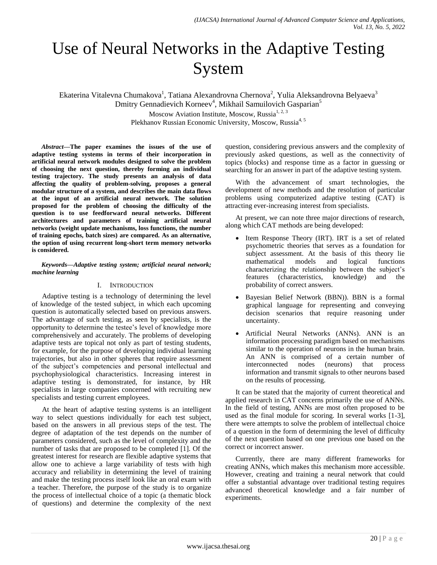# Use of Neural Networks in the Adaptive Testing System

Ekaterina Vitalevna Chumakova<sup>1</sup>, Tatiana Alexandrovna Chernova<sup>2</sup>, Yulia Aleksandrovna Belyaeva<sup>3</sup> Dmitry Gennadievich Korneev<sup>4</sup>, Mikhail Samuilovich Gasparian<sup>5</sup> Moscow Aviation Institute, Moscow, Russia<sup>1, 2, 3</sup> Plekhanov Russian Economic University, Moscow, Russia<sup>4, 5</sup>

*Abstract***—The paper examines the issues of the use of adaptive testing systems in terms of their incorporation in artificial neural network modules designed to solve the problem of choosing the next question, thereby forming an individual testing trajectory. The study presents an analysis of data affecting the quality of problem-solving, proposes a general modular structure of a system, and describes the main data flows at the input of an artificial neural network. The solution proposed for the problem of choosing the difficulty of the question is to use feedforward neural networks. Different architectures and parameters of training artificial neural networks (weight update mechanisms, loss functions, the number of training epochs, batch sizes) are compared. As an alternative, the option of using recurrent long-short term memory networks is considered.**

#### *Keywords—Adaptive testing system; artificial neural network; machine learning*

## I. INTRODUCTION

Adaptive testing is a technology of determining the level of knowledge of the tested subject, in which each upcoming question is automatically selected based on previous answers. The advantage of such testing, as seen by specialists, is the opportunity to determine the testee's level of knowledge more comprehensively and accurately. The problems of developing adaptive tests are topical not only as part of testing students, for example, for the purpose of developing individual learning trajectories, but also in other spheres that require assessment of the subject's competencies and personal intellectual and psychophysiological characteristics. Increasing interest in adaptive testing is demonstrated, for instance, by HR specialists in large companies concerned with recruiting new specialists and testing current employees.

At the heart of adaptive testing systems is an intelligent way to select questions individually for each test subject, based on the answers in all previous steps of the test. The degree of adaptation of the test depends on the number of parameters considered, such as the level of complexity and the number of tasks that are proposed to be completed [1]. Of the greatest interest for research are flexible adaptive systems that allow one to achieve a large variability of tests with high accuracy and reliability in determining the level of training and make the testing process itself look like an oral exam with a teacher. Therefore, the purpose of the study is to organize the process of intellectual choice of a topic (a thematic block of questions) and determine the complexity of the next question, considering previous answers and the complexity of previously asked questions, as well as the connectivity of topics (blocks) and response time as a factor in guessing or searching for an answer in part of the adaptive testing system.

With the advancement of smart technologies, the development of new methods and the resolution of particular problems using computerized adaptive testing (CAT) is attracting ever-increasing interest from specialists.

At present, we can note three major directions of research, along which CAT methods are being developed:

- Item Response Theory (IRT). IRT is a set of related psychometric theories that serves as a foundation for subject assessment. At the basis of this theory lie mathematical models and logical functions characterizing the relationship between the subject's features (characteristics, knowledge) and the probability of correct answers.
- Bayesian Belief Network (BBN)). BBN is a formal graphical language for representing and conveying decision scenarios that require reasoning under uncertainty.
- Artificial Neural Networks (ANNs). ANN is an information processing paradigm based on mechanisms similar to the operation of neurons in the human brain. An ANN is comprised of a certain number of interconnected nodes (neurons) that process information and transmit signals to other neurons based on the results of processing.

It can be stated that the majority of current theoretical and applied research in CAT concerns primarily the use of ANNs. In the field of testing, ANNs are most often proposed to be used as the final module for scoring. In several works [1-3], there were attempts to solve the problem of intellectual choice of a question in the form of determining the level of difficulty of the next question based on one previous one based on the correct or incorrect answer.

Currently, there are many different frameworks for creating ANNs, which makes this mechanism more accessible. However, creating and training a neural network that could offer a substantial advantage over traditional testing requires advanced theoretical knowledge and a fair number of experiments.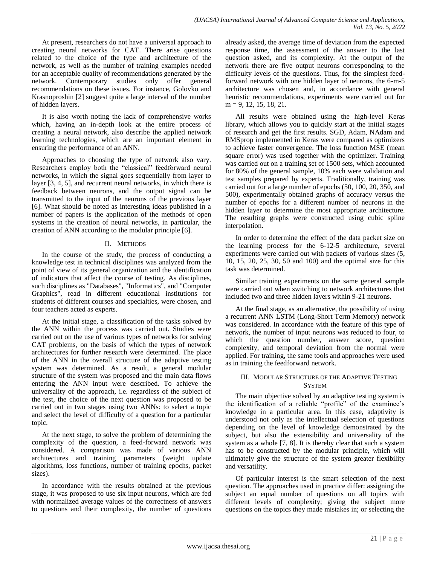At present, researchers do not have a universal approach to creating neural networks for CAT. There arise questions related to the choice of the type and architecture of the network, as well as the number of training examples needed for an acceptable quality of recommendations generated by the network. Contemporary studies only offer general recommendations on these issues. For instance, Golovko and Krasnoproshin [2] suggest quite a large interval of the number of hidden layers.

It is also worth noting the lack of comprehensive works which, having an in-depth look at the entire process of creating a neural network, also describe the applied network learning technologies, which are an important element in ensuring the performance of an ANN.

Approaches to choosing the type of network also vary. Researchers employ both the "classical" feedforward neural networks, in which the signal goes sequentially from layer to layer [3, 4, 5], and recurrent neural networks, in which there is feedback between neurons, and the output signal can be transmitted to the input of the neurons of the previous layer [6]. What should be noted as interesting ideas published in a number of papers is the application of the methods of open systems in the creation of neural networks, in particular, the creation of ANN according to the modular principle [6].

### II. METHODS

In the course of the study, the process of conducting a knowledge test in technical disciplines was analyzed from the point of view of its general organization and the identification of indicators that affect the course of testing. As disciplines, such disciplines as "Databases", "Informatics", and "Computer Graphics", read in different educational institutions for students of different courses and specialties, were chosen, and four teachers acted as experts.

At the initial stage, a classification of the tasks solved by the ANN within the process was carried out. Studies were carried out on the use of various types of networks for solving CAT problems, on the basis of which the types of network architectures for further research were determined. The place of the ANN in the overall structure of the adaptive testing system was determined. As a result, a general modular structure of the system was proposed and the main data flows entering the ANN input were described. To achieve the universality of the approach, i.e. regardless of the subject of the test, the choice of the next question was proposed to be carried out in two stages using two ANNs: to select a topic and select the level of difficulty of a question for a particular topic.

At the next stage, to solve the problem of determining the complexity of the question, a feed-forward network was considered. A comparison was made of various ANN architectures and training parameters (weight update algorithms, loss functions, number of training epochs, packet sizes).

In accordance with the results obtained at the previous stage, it was proposed to use six input neurons, which are fed with normalized average values of the correctness of answers to questions and their complexity, the number of questions already asked, the average time of deviation from the expected response time, the assessment of the answer to the last question asked, and its complexity. At the output of the network there are five output neurons corresponding to the difficulty levels of the questions. Thus, for the simplest feedforward network with one hidden layer of neurons, the 6-m-5 architecture was chosen and, in accordance with general heuristic recommendations, experiments were carried out for m = 9, 12, 15, 18, 21.

All results were obtained using the high-level Keras library, which allows you to quickly start at the initial stages of research and get the first results. SGD, Adam, NAdam and RMSprop implemented in Keras were compared as optimizers to achieve faster convergence. The loss function MSE (mean square error) was used together with the optimizer. Training was carried out on a training set of 1500 sets, which accounted for 80% of the general sample, 10% each were validation and test samples prepared by experts. Traditionally, training was carried out for a large number of epochs (50, 100, 20, 350, and 500), experimentally obtained graphs of accuracy versus the number of epochs for a different number of neurons in the hidden layer to determine the most appropriate architecture. The resulting graphs were constructed using cubic spline interpolation.

In order to determine the effect of the data packet size on the learning process for the 6-12-5 architecture, several experiments were carried out with packets of various sizes (5, 10, 15, 20, 25, 30, 50 and 100) and the optimal size for this task was determined.

Similar training experiments on the same general sample were carried out when switching to network architectures that included two and three hidden layers within 9-21 neurons.

At the final stage, as an alternative, the possibility of using a recurrent ANN LSTM (Long-Short Term Memory) network was considered. In accordance with the feature of this type of network, the number of input neurons was reduced to four, to which the question number, answer score, question complexity, and temporal deviation from the normal were applied. For training, the same tools and approaches were used as in training the feedforward network.

## III. MODULAR STRUCTURE OF THE ADAPTIVE TESTING **SYSTEM**

The main objective solved by an adaptive testing system is the identification of a reliable "profile" of the examinee's knowledge in a particular area. In this case, adaptivity is understood not only as the intellectual selection of questions depending on the level of knowledge demonstrated by the subject, but also the extensibility and universality of the system as a whole [7, 8]. It is thereby clear that such a system has to be constructed by the modular principle, which will ultimately give the structure of the system greater flexibility and versatility.

Of particular interest is the smart selection of the next question. The approaches used in practice differ: assigning the subject an equal number of questions on all topics with different levels of complexity; giving the subject more questions on the topics they made mistakes in; or selecting the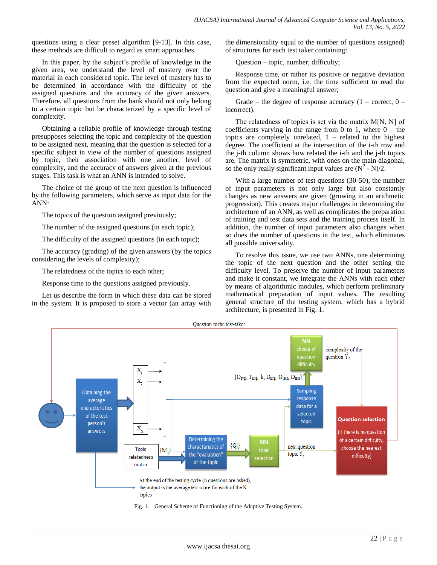questions using a clear preset algorithm [9-13]. In this case, these methods are difficult to regard as smart approaches.

In this paper, by the subject's profile of knowledge in the given area, we understand the level of mastery over the material in each considered topic. The level of mastery has to be determined in accordance with the difficulty of the assigned questions and the accuracy of the given answers. Therefore, all questions from the bank should not only belong to a certain topic but be characterized by a specific level of complexity.

Obtaining a reliable profile of knowledge through testing presupposes selecting the topic and complexity of the question to be assigned next, meaning that the question is selected for a specific subject in view of the number of questions assigned by topic, their association with one another, level of complexity, and the accuracy of answers given at the previous stages. This task is what an ANN is intended to solve.

The choice of the group of the next question is influenced by the following parameters, which serve as input data for the ANN:

The topics of the question assigned previously;

The number of the assigned questions (in each topic);

The difficulty of the assigned questions (in each topic);

The accuracy (grading) of the given answers (by the topics considering the levels of complexity);

The relatedness of the topics to each other;

Response time to the questions assigned previously.

Let us describe the form in which these data can be stored in the system. It is proposed to store a vector (an array with the dimensionality equal to the number of questions assigned) of structures for each test taker containing:

Question – topic, number, difficulty;

Response time, or rather its positive or negative deviation from the expected norm, i.e. the time sufficient to read the question and give a meaningful answer;

Grade – the degree of response accuracy  $(1 -$  correct,  $0$ incorrect).

The relatedness of topics is set via the matrix M[N, N] of coefficients varying in the range from 0 to 1, where  $0 -$  the topics are completely unrelated,  $1$  – related to the highest degree. The coefficient at the intersection of the i-th row and the j-th column shows how related the i-th and the j-th topics are. The matrix is symmetric, with ones on the main diagonal, so the only really significant input values are  $(N^2 - N)/2$ .

With a large number of test questions (30-50), the number of input parameters is not only large but also constantly changes as new answers are given (growing in an arithmetic progression). This creates major challenges in determining the architecture of an ANN, as well as complicates the preparation of training and test data sets and the training process itself. In addition, the number of input parameters also changes when so does the number of questions in the test, which eliminates all possible universality.

To resolve this issue, we use two ANNs, one determining the topic of the next question and the other setting the difficulty level. To preserve the number of input parameters and make it constant, we integrate the ANNs with each other by means of algorithmic modules, which perform preliminary mathematical preparation of input values. The resulting general structure of the testing system, which has a hybrid architecture, is presented in Fig. 1.



Fig. 1. General Scheme of Functioning of the Adaptive Testing System.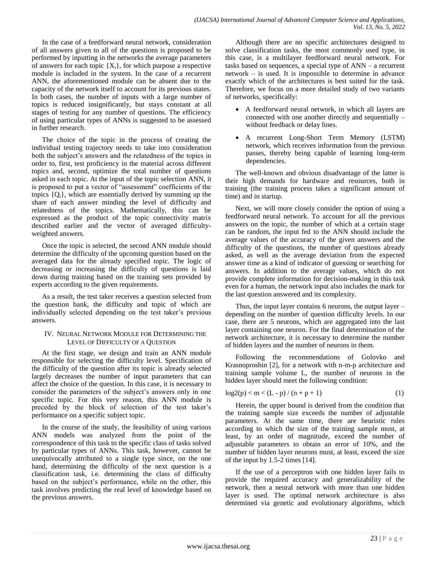In the case of a feedforward neural network, consideration of all answers given to all of the questions is proposed to be performed by inputting in the networks the average parameters of answers for each topic  ${X_i}$ , for which purpose a respective module is included in the system. In the case of a recurrent ANN, the aforementioned module can be absent due to the capacity of the network itself to account for its previous states. In both cases, the number of inputs with a large number of topics is reduced insignificantly, but stays constant at all stages of testing for any number of questions. The efficiency of using particular types of ANNs is suggested to be assessed in further research.

The choice of the topic in the process of creating the individual testing trajectory needs to take into consideration both the subject's answers and the relatedness of the topics in order to, first, test proficiency in the material across different topics and, second, optimize the total number of questions asked in each topic. At the input of the topic selection ANN, it is proposed to put a vector of "assessment" coefficients of the topics  ${Q_i}$ , which are essentially derived by summing up the share of each answer minding the level of difficulty and relatedness of the topics. Mathematically, this can be expressed as the product of the topic connectivity matrix described earlier and the vector of averaged difficultyweighted answers.

Once the topic is selected, the second ANN module should determine the difficulty of the upcoming question based on the averaged data for the already specified topic. The logic of decreasing or increasing the difficulty of questions is laid down during training based on the training sets provided by experts according to the given requirements.

As a result, the test taker receives a question selected from the question bank, the difficulty and topic of which are individually selected depending on the test taker's previous answers.

## IV. NEURAL NETWORK MODULE FOR DETERMINING THE LEVEL OF DIFFICULTY OF A QUESTION

At the first stage, we design and train an ANN module responsible for selecting the difficulty level. Specification of the difficulty of the question after its topic is already selected largely decreases the number of input parameters that can affect the choice of the question. In this case, it is necessary to consider the parameters of the subject's answers only in one specific topic. For this very reason, this ANN module is preceded by the block of selection of the test taker's performance on a specific subject topic.

In the course of the study, the feasibility of using various ANN models was analyzed from the point of the correspondence of this task to the specific class of tasks solved by particular types of ANNs. This task, however, cannot be unequivocally attributed to a single type since, on the one hand, determining the difficulty of the next question is a classification task, i.e. determining the class of difficulty based on the subject's performance, while on the other, this task involves predicting the real level of knowledge based on the previous answers.

Although there are no specific architectures designed to solve classification tasks, the most commonly used type, in this case, is a multilayer feedforward neural network. For tasks based on sequences, a special type of ANN – a recurrent network – is used. It is impossible to determine in advance exactly which of the architectures is best suited for the task. Therefore, we focus on a more detailed study of two variants of networks, specifically:

- A feedforward neural network, in which all layers are connected with one another directly and sequentially – without feedback or delay lines.
- A recurrent Long-Short Term Memory (LSTM) network, which receives information from the previous passes, thereby being capable of learning long-term dependencies.

The well-known and obvious disadvantage of the latter is their high demands for hardware and resources, both in training (the training process takes a significant amount of time) and in startup.

Next, we will more closely consider the option of using a feedforward neural network. To account for all the previous answers on the topic, the number of which at a certain stage can be random, the input fed to the ANN should include the average values of the accuracy of the given answers and the difficulty of the questions, the number of questions already asked, as well as the average deviation from the expected answer time as a kind of indicator of guessing or searching for answers. In addition to the average values, which do not provide complete information for decision-making in this task even for a human, the network input also includes the mark for the last question answered and its complexity.

Thus, the input layer contains 6 neurons, the output layer – depending on the number of question difficulty levels. In our case, there are 5 neurons, which are aggregated into the last layer containing one neuron. For the final determination of the network architecture, it is necessary to determine the number of hidden layers and the number of neurons in them.

Following the recommendations of Golovko and Krasnoproshin [2], for a network with n-m-p architecture and training sample volume L, the number of neurons in the hidden layer should meet the following condition:

$$
log2(p) < m < (L - p) / (n + p + 1)
$$
 (1)

Herein, the upper bound is derived from the condition that the training sample size exceeds the number of adjustable parameters. At the same time, there are heuristic rules according to which the size of the training sample must, at least, by an order of magnitude, exceed the number of adjustable parameters to obtain an error of 10%, and the number of hidden layer neurons must, at least, exceed the size of the input by 1.5-2 times [14].

If the use of a perceptron with one hidden layer fails to provide the required accuracy and generalizability of the network, then a neural network with more than one hidden layer is used. The optimal network architecture is also determined via genetic and evolutionary algorithms, which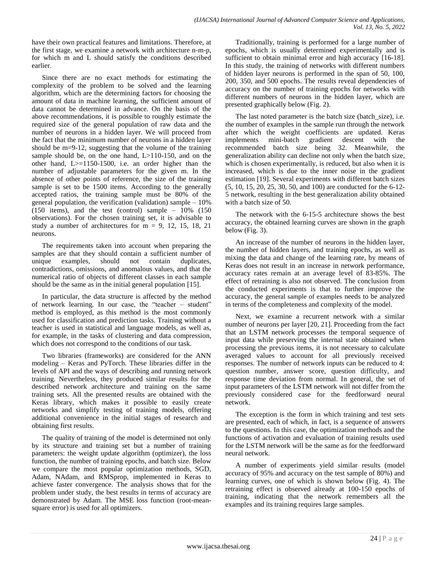have their own practical features and limitations. Therefore, at the first stage, we examine a network with architecture n-m-p, for which m and L should satisfy the conditions described earlier.

Since there are no exact methods for estimating the complexity of the problem to be solved and the learning algorithm, which are the determining factors for choosing the amount of data in machine learning, the sufficient amount of data cannot be determined in advance. On the basis of the above recommendations, it is possible to roughly estimate the required size of the general population of raw data and the number of neurons in a hidden layer. We will proceed from the fact that the minimum number of neurons in a hidden layer should be m=9-12, suggesting that the volume of the training sample should be, on the one hand, L>110-150, and on the other hand,  $L>=1150-1500$ , i.e. an order higher than the number of adjustable parameters for the given m. In the absence of other points of reference, the size of the training sample is set to be 1500 items. According to the generally accepted ratios, the training sample must be 80% of the general population, the verification (validation) sample  $-10\%$ (150 items), and the test (control) sample – 10% (150 observations). For the chosen training set, it is advisable to study a number of architectures for  $m = 9, 12, 15, 18, 21$ neurons.

The requirements taken into account when preparing the samples are that they should contain a sufficient number of unique examples, should not contain duplicates, contradictions, omissions, and anomalous values, and that the numerical ratio of objects of different classes in each sample should be the same as in the initial general population [15].

In particular, the data structure is affected by the method of network learning. In our case, the "teacher – student" method is employed, as this method is the most commonly used for classification and prediction tasks. Training without a teacher is used in statistical and language models, as well as, for example, in the tasks of clustering and data compression, which does not correspond to the conditions of our task.

Two libraries (frameworks) are considered for the ANN modeling – Keras and PyTorch. These libraries differ in the levels of API and the ways of describing and running network training. Nevertheless, they produced similar results for the described network architecture and training on the same training sets. All the presented results are obtained with the Keras library, which makes it possible to easily create networks and simplify testing of training models, offering additional convenience in the initial stages of research and obtaining first results.

The quality of training of the model is determined not only by its structure and training set but a number of training parameters: the weight update algorithm (optimizer), the loss function, the number of training epochs, and batch size. Below we compare the most popular optimization methods, SGD, Adam, NAdam, and RMSprop, implemented in Keras to achieve faster convergence. The analysis shows that for the problem under study, the best results in terms of accuracy are demonstrated by Adam. The MSE loss function (root-meansquare error) is used for all optimizers.

Traditionally, training is performed for a large number of epochs, which is usually determined experimentally and is sufficient to obtain minimal error and high accuracy [16-18]. In this study, the training of networks with different numbers of hidden layer neurons is performed in the span of 50, 100, 200, 350, and 500 epochs. The results reveal dependencies of accuracy on the number of training epochs for networks with different numbers of neurons in the hidden layer, which are presented graphically below (Fig. 2).

The last noted parameter is the batch size (batch size), i.e. the number of examples in the sample run through the network after which the weight coefficients are updated. Keras<br>implements mini-batch gradient descent with the mini-batch gradient descent with the recommended batch size being 32. Meanwhile, the generalization ability can decline not only when the batch size, which is chosen experimentally, is reduced, but also when it is increased, which is due to the inner noise in the gradient estimation [19]. Several experiments with different batch sizes (5, 10, 15, 20, 25, 30, 50, and 100) are conducted for the 6-12- 5 network, resulting in the best generalization ability obtained with a batch size of 50.

The network with the 6-15-5 architecture shows the best accuracy, the obtained learning curves are shown in the graph below (Fig. 3).

An increase of the number of neurons in the hidden layer, the number of hidden layers, and training epochs, as well as mixing the data and change of the learning rate, by means of Keras does not result in an increase in network performance, accuracy rates remain at an average level of 83-85%. The effect of retraining is also not observed. The conclusion from the conducted experiments is that to further improve the accuracy, the general sample of examples needs to be analyzed in terms of the completeness and complexity of the model.

Next, we examine a recurrent network with a similar number of neurons per layer [20, 21]. Proceeding from the fact that an LSTM network processes the temporal sequence of input data while preserving the internal state obtained when processing the previous items, it is not necessary to calculate averaged values to account for all previously received responses. The number of network inputs can be reduced to 4: question number, answer score, question difficulty, and response time deviation from normal. In general, the set of input parameters of the LSTM network will not differ from the previously considered case for the feedforward neural network.

The exception is the form in which training and test sets are presented, each of which, in fact, is a sequence of answers to the questions. In this case, the optimization methods and the functions of activation and evaluation of training results used for the LSTM network will be the same as for the feedforward neural network.

A number of experiments yield similar results (model accuracy of 95% and accuracy on the test sample of 80%) and learning curves, one of which is shown below (Fig. 4). The retraining effect is observed already at 100-150 epochs of training, indicating that the network remembers all the examples and its training requires large samples.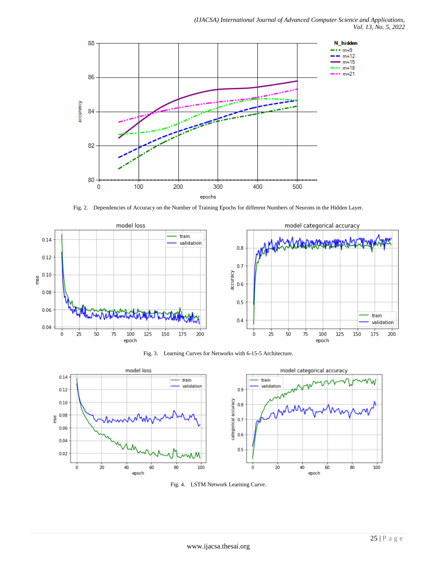

Fig. 2. Dependencies of Accuracy on the Number of Training Epochs for different Numbers of Neurons in the Hidden Layer.



Fig. 3. Learning Curves for Networks with 6-15-5 Architecture.



Fig. 4. LSTM Network Learning Curve.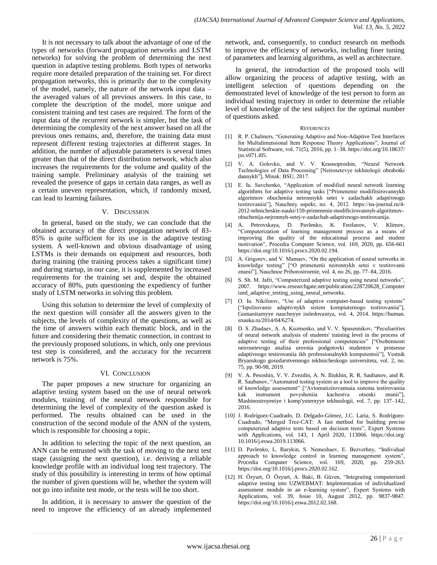It is not necessary to talk about the advantage of one of the types of networks (forward propagation networks and LSTM networks) for solving the problem of determining the next question in adaptive testing problems. Both types of networks require more detailed preparation of the training set. For direct propagation networks, this is primarily due to the complexity of the model, namely, the nature of the network input data – the averaged values of all previous answers. In this case, to complete the description of the model, more unique and consistent training and test cases are required. The form of the input data of the recurrent network is simpler, but the task of determining the complexity of the next answer based on all the previous ones remains, and, therefore, the training data must represent different testing trajectories at different stages. In addition, the number of adjustable parameters is several times greater than that of the direct distribution network, which also increases the requirements for the volume and quality of the training sample. Preliminary analysis of the training set revealed the presence of gaps in certain data ranges, as well as a certain uneven representation, which, if randomly mixed, can lead to learning failures.

#### V. DISCUSSION

In general, based on the study, we can conclude that the obtained accuracy of the direct propagation network of 83- 85% is quite sufficient for its use in the adaptive testing system. A well-known and obvious disadvantage of using LSTMs is their demands on equipment and resources, both during training (the training process takes a significant time) and during startup, in our case, it is supplemented by increased requirements for the training set and, despite the obtained accuracy of 80%, puts questioning the expediency of further study of LSTM networks in solving this problem.

Using this solution to determine the level of complexity of the next question will consider all the answers given to the subjects, the levels of complexity of the questions, as well as the time of answers within each thematic block, and in the future and considering their thematic connection, in contrast to the previously proposed solutions, in which, only one previous test step is considered, and the accuracy for the recurrent network is 75%.

#### VI. CONCLUSION

The paper proposes a new structure for organizing an adaptive testing system based on the use of neural network modules, training of the neural network responsible for determining the level of complexity of the question asked is performed. The results obtained can be used in the construction of the second module of the ANN of the system, which is responsible for choosing a topic.

In addition to selecting the topic of the next question, an ANN can be entrusted with the task of moving to the next test stage (assigning the next question), i.e. deriving a reliable knowledge profile with an individual long test trajectory. The study of this possibility is interesting in terms of how optimal the number of given questions will be, whether the system will not go into infinite test mode, or the tests will be too short.

In addition, it is necessary to answer the question of the need to improve the efficiency of an already implemented network, and, consequently, to conduct research on methods to improve the efficiency of networks, including finer tuning of parameters and learning algorithms, as well as architecture.

In general, the introduction of the proposed tools will allow organizing the process of adaptive testing, with an intelligent selection of questions depending on the demonstrated level of knowledge of the test person to form an individual testing trajectory in order to determine the reliable level of knowledge of the test subject for the optimal number of questions asked.

#### **REFERENCES**

- [1] R. P. Chalmers, "Generating Adaptive and Non-Adaptive Test Interfaces for Multidimensional Item Response Theory Applications", Journal of Statistical Software, vol. 71(5), 2016, pp. 1–38. https://doi.org/10.18637/ jss.v071.i05.
- [2] V. A. Golovko, and V. V. Krasnoproshin, "Neural Network Technologies of Data Processing" [Neirosetevye tekhnologii obrabotki dannykh"], Minsk: BSU, 2017.
- [3] E. Iu. Savchenko, "Application of modified neural network learning algorithms for adaptive testing tasks ["Primenenie modifitsirovannykh algoritmov obucheniia neironnykh setei v zadachakh adaptivnogo testirovaniia"], Nauchniy aspekt, no. 4, 2012. https://na-journal.ru/4- 2012-tehnicheskie-nauki/159-primenenie-modificirovannyh-algoritmovobuchenija-nejronnyh-setej-v-zadachah-adaptivnogo-testirovanija.
- [4] A. Petrovskaya, D. Pavlenko, K. Feofanov, V. Klimov, "Computerization of learning management process as a means of improving the quality of the educational process and student motivation", Procedia Computer Science, vol. 169, 2020, pp. 656-661 https://doi.org/10.1016/j.procs.2020.02.194.
- [5] A. Grigorev, and V. Mamaev, "On the application of neural networks in knowledge testing" ["O primenenii neironnykh setei v testirovanii znanii"], Nauchnoe Priborostroenie, vol. 4, no 26, pp. 77–84, 2016.
- [6] S. Sh. M. Jafri, "Computerized adaptive testing using neural networks", 2007. https://www.researchgate.net/publication/228720628\_Computer ized\_adaptive\_testing\_using\_neural\_networks.
- [7] O. Iu. Nikiforov, "Use of adaptive computer-based testing systems" ["Ispolzovanie adaptivnykh sistem kompiuternogo testirovaniia"], Gumanitarnyye nauchnyye issledovaniya, vol. 4, 2014. https://human. snauka.ru/2014/04/6274.
- D. S. Zhadaev, A. A. Kuzmenko, and V. V. Spasennikov, "Peculiarities of neural network analysis of students' training level in the process of adaptive testing of their professional competencies" ["Osobennosti neirosetevogo analiza urovnia podgotovki studentov v protsesse adaptivnogo testirovaniia ikh professionalnykh kompetentsii"], Vestnik Bryanskogo gosudarstvennogo tekhnicheskogo universiteta, vol. 2, no. 75, pp. 90-98, 2019.
- [9] V. A. Pesoshin, V. V. Zvezdin, A. N. Iliukhin, R. R. Saubanov, and R. R. Saubanov, "Automated testing system as a tool to improve the quality of knowledge assessment" ["Avtomatizirovannaia sistema testirovaniia kak instrument povysheniia kachestva otsenki znanii"], Mashinostroyeniye i komp'yuternyye tekhnologii, vol. 7, pp. 137–142, 2016.
- [10] J. Rodríguez-Cuadrado, D. Delgado-Gómez, J.C. Laria, S. Rodríguez-Cuadrado, "Merged Tree-CAT: A fast method for building precise computerized adaptive tests based on decision trees", Expert Systems with Applications, vol. 143, 1 April 2020, 113066. https://doi.org/ 10.1016/j.eswa.2019.113066.
- [11] D. Pavlenko, L. Barykin, S. Nemeshaev, E. Bezverhny, "Individual approach to knowledge control in learning management system", Procedia Computer Science, vol. 169, 2020, pp. 259-263. https://doi.org/10.1016/j.procs.2020.02.162.
- [12] H. Özyurt, Ö. Özyurt, A. Baki, B. Güven, "Integrating computerized adaptive testing into UZWEBMAT: Implementation of individualized assessment module in an e-learning system", Expert Systems with Applications, vol. 39, Issue 10, August 2012, pp. 9837-9847. https://doi.org/10.1016/j.eswa.2012.02.168.